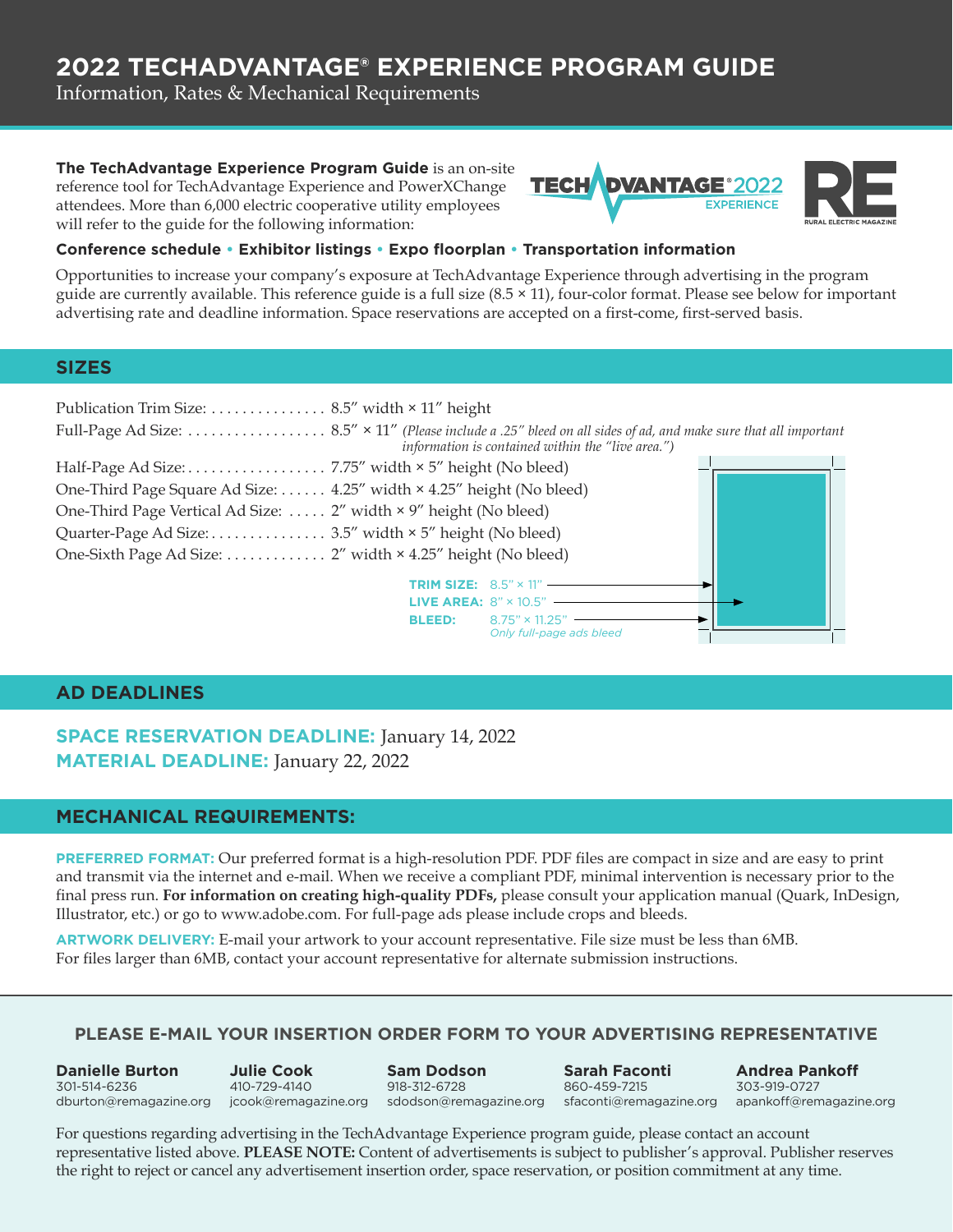# **2022 TECHADVANTAGE® EXPERIENCE PROGRAM GUIDE**

Information, Rates & Mechanical Requirements

#### **The TechAdvantage Experience Program Guide** is an on-site

reference tool for TechAdvantage Experience and PowerXChange attendees. More than 6,000 electric cooperative utility employees will refer to the guide for the following information:



 $\frac{1}{\sqrt{2}}$ 

#### **Conference schedule • Exhibitor listings • Expo floorplan • Transportation information**

Opportunities to increase your company's exposure at TechAdvantage Experience through advertising in the program guide are currently available. This reference guide is a full size (8.5 × 11), four-color format. Please see below for important advertising rate and deadline information. Space reservations are accepted on a first-come, first-served basis.

#### **SIZES**

| Publication Trim Size: 8.5" width $\times$ 11" height                 |                                                   |  |  |  |  |
|-----------------------------------------------------------------------|---------------------------------------------------|--|--|--|--|
|                                                                       | information is contained within the "live area.") |  |  |  |  |
|                                                                       |                                                   |  |  |  |  |
| One-Third Page Square Ad Size:  4.25" width × 4.25" height (No bleed) |                                                   |  |  |  |  |
| One-Third Page Vertical Ad Size:  2" width × 9" height (No bleed)     |                                                   |  |  |  |  |
| Quarter-Page Ad Size: 3.5" width × 5" height (No bleed)               |                                                   |  |  |  |  |
| One-Sixth Page Ad Size: 2" width × 4.25" height (No bleed)            |                                                   |  |  |  |  |
|                                                                       | <b>TRIM SIZE:</b> $8.5" \times 11"$ ——            |  |  |  |  |
|                                                                       | <b>LIVE AREA: 8" × 10.5"</b>                      |  |  |  |  |
|                                                                       | <b>BLEED:</b> $8.75" \times 11.25"$               |  |  |  |  |

*Only full-page ads bleed*

#### **AD DEADLINES**

**SPACE RESERVATION DEADLINE:** January 14, 2022 **MATERIAL DEADLINE:** January 22, 2022

#### **MECHANICAL REQUIREMENTS:**

**PREFERRED FORMAT:** Our preferred format is a high-resolution PDF. PDF files are compact in size and are easy to print and transmit via the internet and e-mail. When we receive a compliant PDF, minimal intervention is necessary prior to the final press run. **For information on creating high-quality PDFs,** please consult your application manual (Quark, InDesign, Illustrator, etc.) or go to www.adobe.com. For full-page ads please include crops and bleeds.

**ARTWORK DELIVERY:** E-mail your artwork to your account representative. File size must be less than 6MB. For files larger than 6MB, contact your account representative for alternate submission instructions.

#### **PLEASE E-MAIL YOUR INSERTION ORDER FORM TO YOUR ADVERTISING REPRESENTATIVE**

**Danielle Burton** 301-514-6236 [dburton@remagazine.org](mailto:dburton%40remagazine.org?subject=) [jcook@remagazine.org](mailto:jcook%40remagazine.org?subject=) [sdodson@remagazine.org](mailto:sdodson%40remagazine.org?subject=) [apankoff@remagazine.org](mailto:apankoff%40remagazine.org?subject=) [sfaconti@remagazine.org](mailto:sfaconti%40remagazine.org?subject=) **Julie Cook** 410-729-4140 **Sam Dodson** 918-312-6728 **Andrea Pankoff** 303-919-0727 **Sarah Faconti** 860-459-7215

For questions regarding advertising in the TechAdvantage Experience program guide, please contact an account representative listed above. **PLEASE NOTE:** Content of advertisements is subject to publisher's approval. Publisher reserves the right to reject or cancel any advertisement insertion order, space reservation, or position commitment at any time.